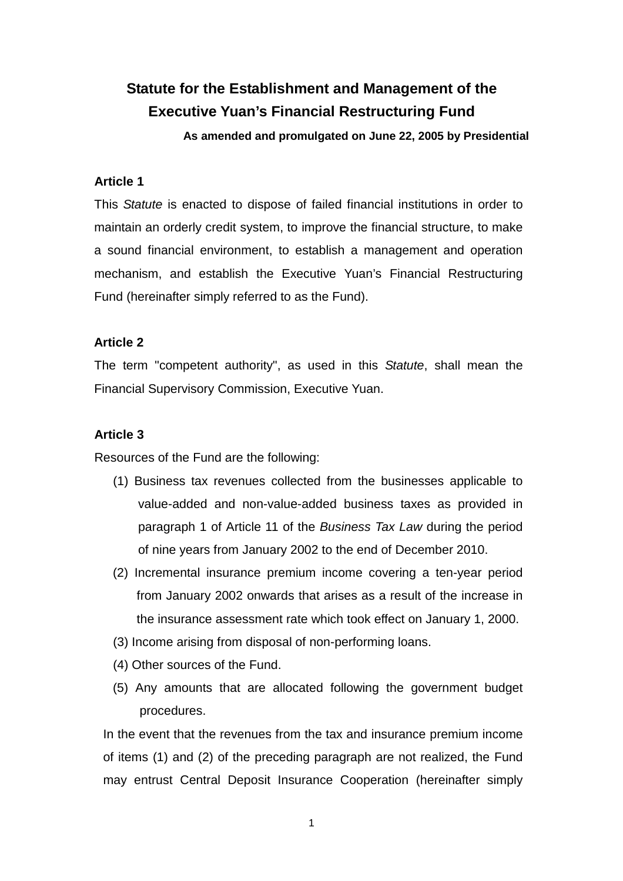# **Statute for the Establishment and Management of the Executive Yuan's Financial Restructuring Fund**

**As amended and promulgated on June 22, 2005 by Presidential** 

## **Article 1**

This *Statute* is enacted to dispose of failed financial institutions in order to maintain an orderly credit system, to improve the financial structure, to make a sound financial environment, to establish a management and operation mechanism, and establish the Executive Yuan's Financial Restructuring Fund (hereinafter simply referred to as the Fund).

## **Article 2**

The term "competent authority", as used in this *Statute*, shall mean the Financial Supervisory Commission, Executive Yuan.

## **Article 3**

Resources of the Fund are the following:

- (1) Business tax revenues collected from the businesses applicable to value-added and non-value-added business taxes as provided in paragraph 1 of Article 11 of the *Business Tax Law* during the period of nine years from January 2002 to the end of December 2010.
- (2) Incremental insurance premium income covering a ten-year period from January 2002 onwards that arises as a result of the increase in the insurance assessment rate which took effect on January 1, 2000.
- (3) Income arising from disposal of non-performing loans.
- (4) Other sources of the Fund.
- (5) Any amounts that are allocated following the government budget procedures.

In the event that the revenues from the tax and insurance premium income of items (1) and (2) of the preceding paragraph are not realized, the Fund may entrust Central Deposit Insurance Cooperation (hereinafter simply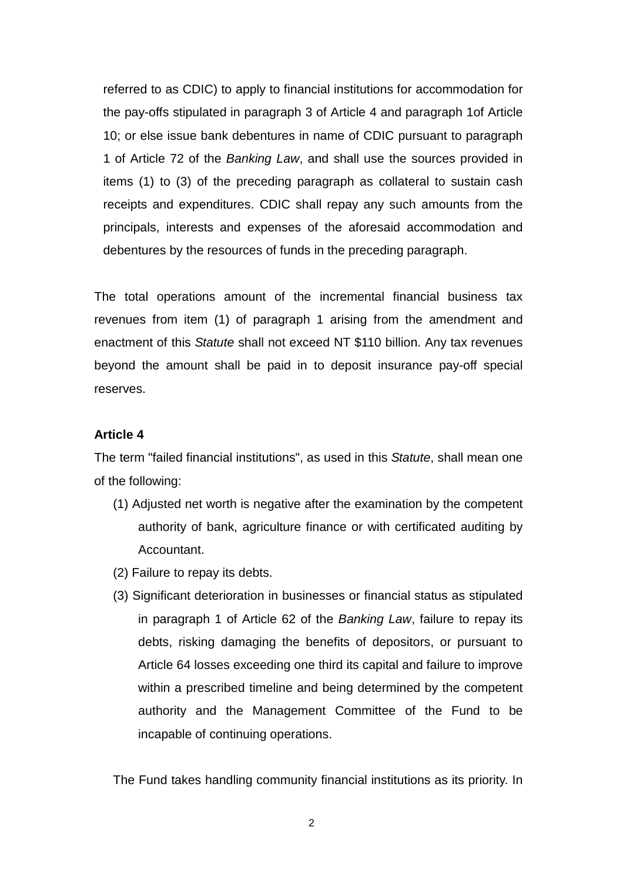referred to as CDIC) to apply to financial institutions for accommodation for the pay-offs stipulated in paragraph 3 of Article 4 and paragraph 1of Article 10; or else issue bank debentures in name of CDIC pursuant to paragraph 1 of Article 72 of the *Banking Law*, and shall use the sources provided in items (1) to (3) of the preceding paragraph as collateral to sustain cash receipts and expenditures. CDIC shall repay any such amounts from the principals, interests and expenses of the aforesaid accommodation and debentures by the resources of funds in the preceding paragraph.

The total operations amount of the incremental financial business tax revenues from item (1) of paragraph 1 arising from the amendment and enactment of this *Statute* shall not exceed NT \$110 billion. Any tax revenues beyond the amount shall be paid in to deposit insurance pay-off special reserves.

## **Article 4**

The term "failed financial institutions", as used in this *Statute*, shall mean one of the following:

- (1) Adjusted net worth is negative after the examination by the competent authority of bank, agriculture finance or with certificated auditing by Accountant.
- (2) Failure to repay its debts.
- (3) Significant deterioration in businesses or financial status as stipulated in paragraph 1 of Article 62 of the *Banking Law*, failure to repay its debts, risking damaging the benefits of depositors, or pursuant to Article 64 losses exceeding one third its capital and failure to improve within a prescribed timeline and being determined by the competent authority and the Management Committee of the Fund to be incapable of continuing operations.

The Fund takes handling community financial institutions as its priority. In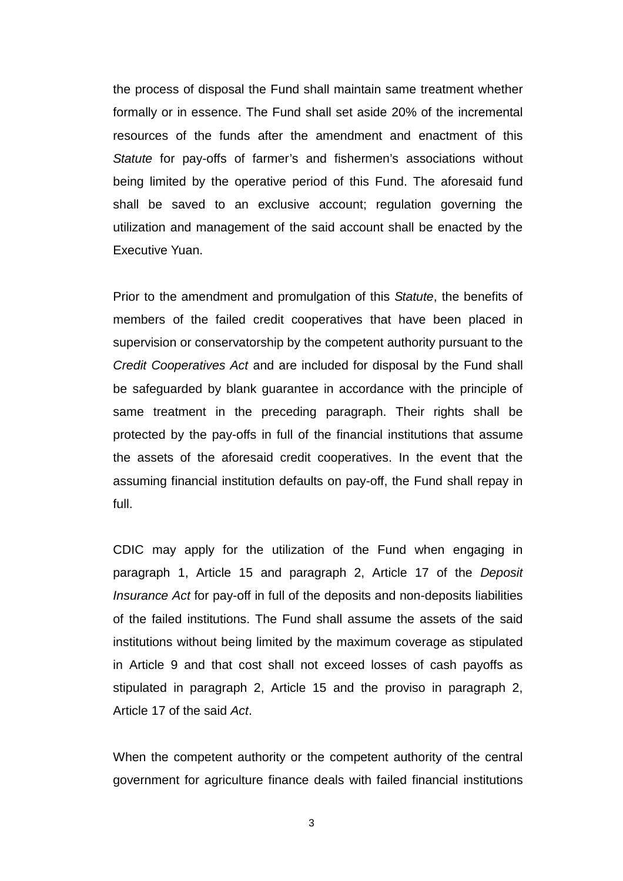the process of disposal the Fund shall maintain same treatment whether formally or in essence. The Fund shall set aside 20% of the incremental resources of the funds after the amendment and enactment of this *Statute* for pay-offs of farmer's and fishermen's associations without being limited by the operative period of this Fund. The aforesaid fund shall be saved to an exclusive account; regulation governing the utilization and management of the said account shall be enacted by the Executive Yuan.

Prior to the amendment and promulgation of this *Statute*, the benefits of members of the failed credit cooperatives that have been placed in supervision or conservatorship by the competent authority pursuant to the *Credit Cooperatives Act* and are included for disposal by the Fund shall be safeguarded by blank guarantee in accordance with the principle of same treatment in the preceding paragraph. Their rights shall be protected by the pay-offs in full of the financial institutions that assume the assets of the aforesaid credit cooperatives. In the event that the assuming financial institution defaults on pay-off, the Fund shall repay in full.

CDIC may apply for the utilization of the Fund when engaging in paragraph 1, Article 15 and paragraph 2, Article 17 of the *Deposit Insurance Act* for pay-off in full of the deposits and non-deposits liabilities of the failed institutions. The Fund shall assume the assets of the said institutions without being limited by the maximum coverage as stipulated in Article 9 and that cost shall not exceed losses of cash payoffs as stipulated in paragraph 2, Article 15 and the proviso in paragraph 2, Article 17 of the said *Act*.

When the competent authority or the competent authority of the central government for agriculture finance deals with failed financial institutions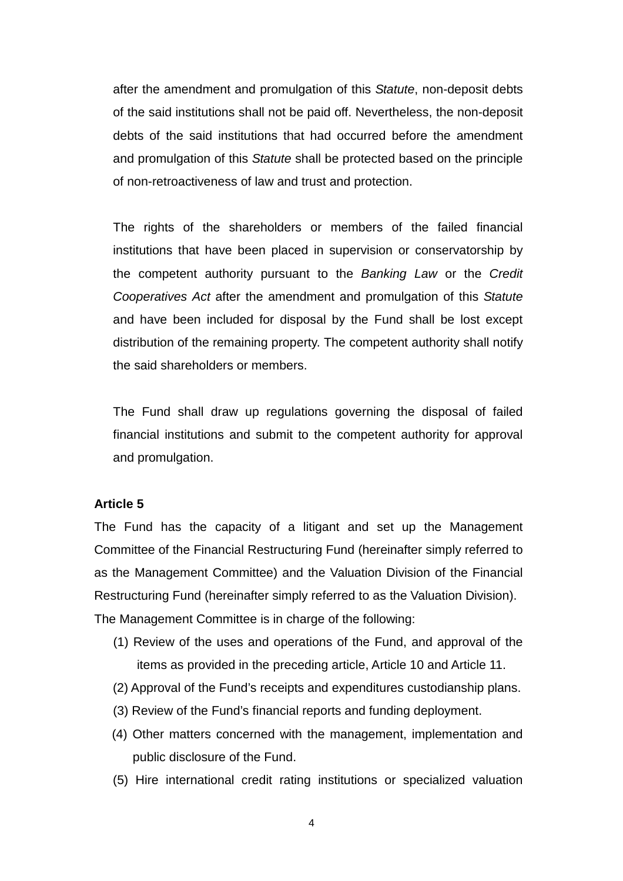after the amendment and promulgation of this *Statute*, non-deposit debts of the said institutions shall not be paid off. Nevertheless, the non-deposit debts of the said institutions that had occurred before the amendment and promulgation of this *Statute* shall be protected based on the principle of non-retroactiveness of law and trust and protection.

The rights of the shareholders or members of the failed financial institutions that have been placed in supervision or conservatorship by the competent authority pursuant to the *Banking Law* or the *Credit Cooperatives Act* after the amendment and promulgation of this *Statute* and have been included for disposal by the Fund shall be lost except distribution of the remaining property. The competent authority shall notify the said shareholders or members.

The Fund shall draw up regulations governing the disposal of failed financial institutions and submit to the competent authority for approval and promulgation.

## **Article 5**

The Fund has the capacity of a litigant and set up the Management Committee of the Financial Restructuring Fund (hereinafter simply referred to as the Management Committee) and the Valuation Division of the Financial Restructuring Fund (hereinafter simply referred to as the Valuation Division). The Management Committee is in charge of the following:

- (1) Review of the uses and operations of the Fund, and approval of the items as provided in the preceding article, Article 10 and Article 11.
- (2) Approval of the Fund's receipts and expenditures custodianship plans.
- (3) Review of the Fund's financial reports and funding deployment.
- (4) Other matters concerned with the management, implementation and public disclosure of the Fund.
- (5) Hire international credit rating institutions or specialized valuation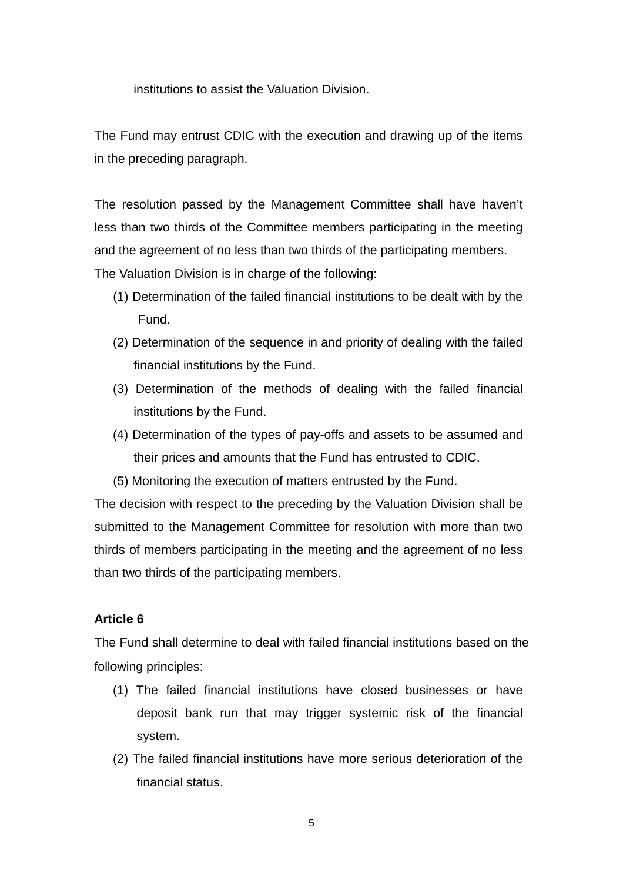institutions to assist the Valuation Division.

The Fund may entrust CDIC with the execution and drawing up of the items in the preceding paragraph.

The resolution passed by the Management Committee shall have haven't less than two thirds of the Committee members participating in the meeting and the agreement of no less than two thirds of the participating members. The Valuation Division is in charge of the following:

- (1) Determination of the failed financial institutions to be dealt with by the Fund.
- (2) Determination of the sequence in and priority of dealing with the failed financial institutions by the Fund.
- (3) Determination of the methods of dealing with the failed financial institutions by the Fund.
- (4) Determination of the types of pay-offs and assets to be assumed and their prices and amounts that the Fund has entrusted to CDIC.
- (5) Monitoring the execution of matters entrusted by the Fund.

The decision with respect to the preceding by the Valuation Division shall be submitted to the Management Committee for resolution with more than two thirds of members participating in the meeting and the agreement of no less than two thirds of the participating members.

## **Article 6**

The Fund shall determine to deal with failed financial institutions based on the following principles:

- (1) The failed financial institutions have closed businesses or have deposit bank run that may trigger systemic risk of the financial system.
- (2) The failed financial institutions have more serious deterioration of the financial status.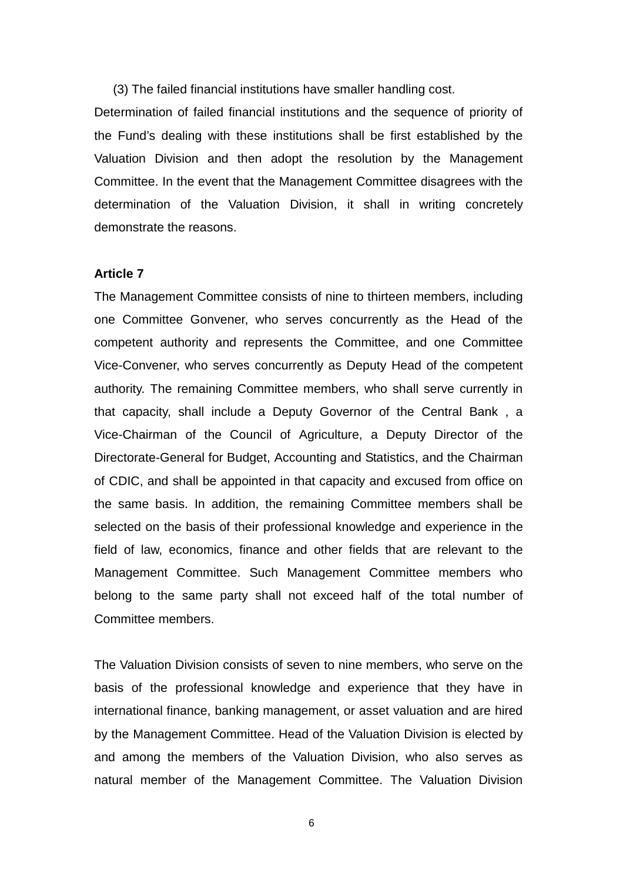(3) The failed financial institutions have smaller handling cost.

Determination of failed financial institutions and the sequence of priority of the Fund's dealing with these institutions shall be first established by the Valuation Division and then adopt the resolution by the Management Committee. In the event that the Management Committee disagrees with the determination of the Valuation Division, it shall in writing concretely demonstrate the reasons.

## **Article 7**

The Management Committee consists of nine to thirteen members, including one Committee Gonvener, who serves concurrently as the Head of the competent authority and represents the Committee, and one Committee Vice-Convener, who serves concurrently as Deputy Head of the competent authority. The remaining Committee members, who shall serve currently in that capacity, shall include a Deputy Governor of the Central Bank , a Vice-Chairman of the Council of Agriculture, a Deputy Director of the Directorate-General for Budget, Accounting and Statistics, and the Chairman of CDIC, and shall be appointed in that capacity and excused from office on the same basis. In addition, the remaining Committee members shall be selected on the basis of their professional knowledge and experience in the field of law, economics, finance and other fields that are relevant to the Management Committee. Such Management Committee members who belong to the same party shall not exceed half of the total number of Committee members.

The Valuation Division consists of seven to nine members, who serve on the basis of the professional knowledge and experience that they have in international finance, banking management, or asset valuation and are hired by the Management Committee. Head of the Valuation Division is elected by and among the members of the Valuation Division, who also serves as natural member of the Management Committee. The Valuation Division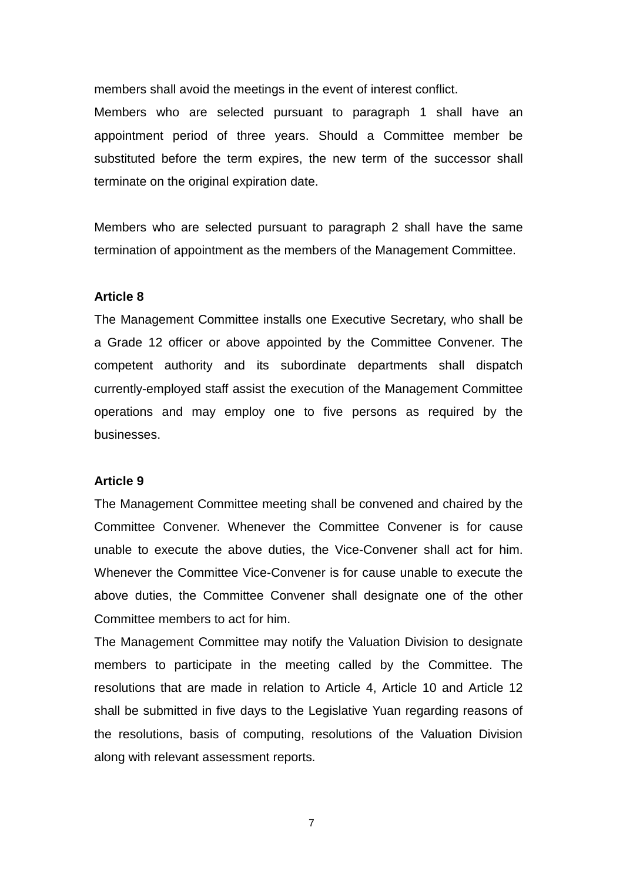members shall avoid the meetings in the event of interest conflict.

Members who are selected pursuant to paragraph 1 shall have an appointment period of three years. Should a Committee member be substituted before the term expires, the new term of the successor shall terminate on the original expiration date.

Members who are selected pursuant to paragraph 2 shall have the same termination of appointment as the members of the Management Committee.

## **Article 8**

The Management Committee installs one Executive Secretary, who shall be a Grade 12 officer or above appointed by the Committee Convener. The competent authority and its subordinate departments shall dispatch currently-employed staff assist the execution of the Management Committee operations and may employ one to five persons as required by the businesses.

#### **Article 9**

The Management Committee meeting shall be convened and chaired by the Committee Convener. Whenever the Committee Convener is for cause unable to execute the above duties, the Vice-Convener shall act for him. Whenever the Committee Vice-Convener is for cause unable to execute the above duties, the Committee Convener shall designate one of the other Committee members to act for him.

The Management Committee may notify the Valuation Division to designate members to participate in the meeting called by the Committee. The resolutions that are made in relation to Article 4, Article 10 and Article 12 shall be submitted in five days to the Legislative Yuan regarding reasons of the resolutions, basis of computing, resolutions of the Valuation Division along with relevant assessment reports.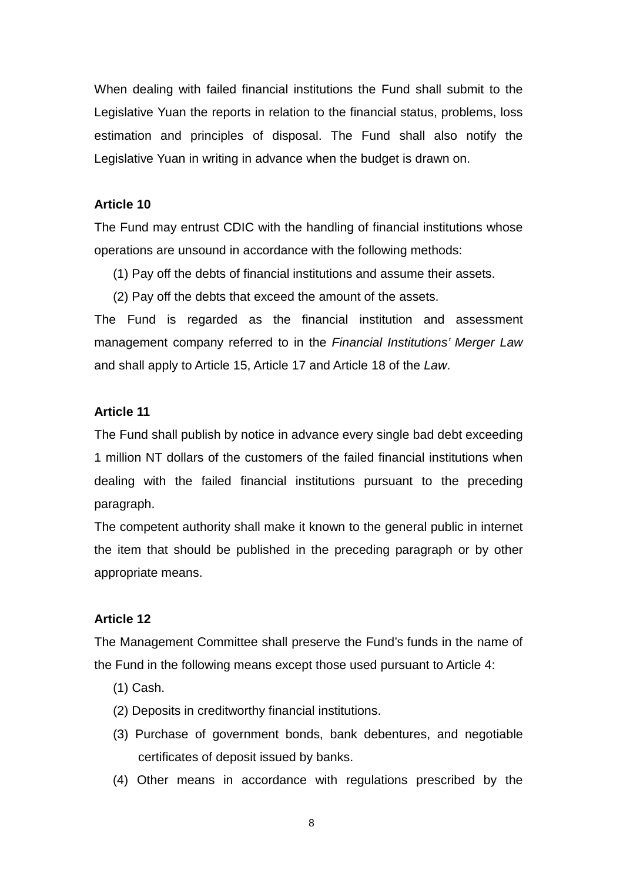When dealing with failed financial institutions the Fund shall submit to the Legislative Yuan the reports in relation to the financial status, problems, loss estimation and principles of disposal. The Fund shall also notify the Legislative Yuan in writing in advance when the budget is drawn on.

## **Article 10**

The Fund may entrust CDIC with the handling of financial institutions whose operations are unsound in accordance with the following methods:

- (1) Pay off the debts of financial institutions and assume their assets.
- (2) Pay off the debts that exceed the amount of the assets.

The Fund is regarded as the financial institution and assessment management company referred to in the *Financial Institutions' Merger Law* and shall apply to Article 15, Article 17 and Article 18 of the *Law*.

## **Article 11**

The Fund shall publish by notice in advance every single bad debt exceeding 1 million NT dollars of the customers of the failed financial institutions when dealing with the failed financial institutions pursuant to the preceding paragraph.

The competent authority shall make it known to the general public in internet the item that should be published in the preceding paragraph or by other appropriate means.

## **Article 12**

The Management Committee shall preserve the Fund's funds in the name of the Fund in the following means except those used pursuant to Article 4:

- (1) Cash.
- (2) Deposits in creditworthy financial institutions.
- (3) Purchase of government bonds, bank debentures, and negotiable certificates of deposit issued by banks.
- (4) Other means in accordance with regulations prescribed by the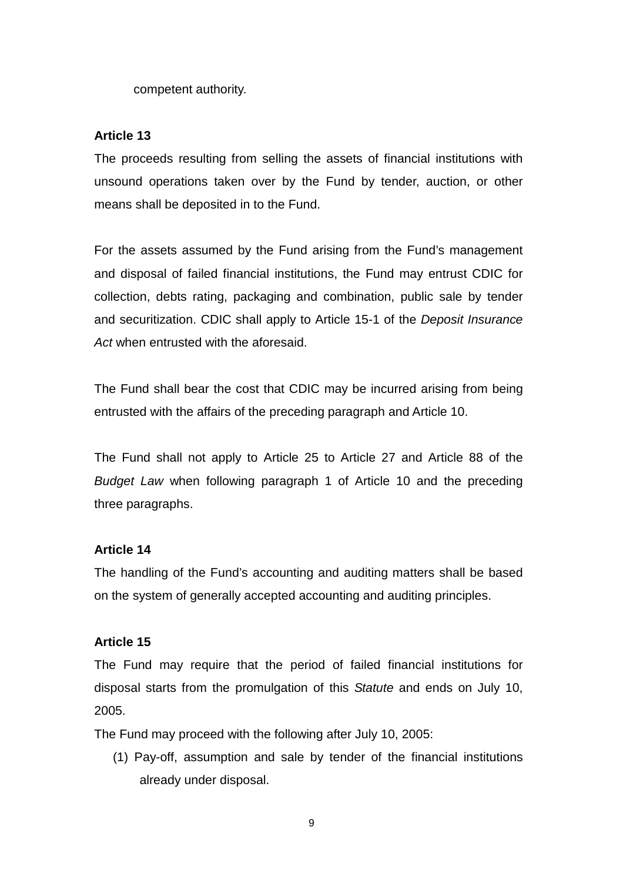competent authority.

## **Article 13**

The proceeds resulting from selling the assets of financial institutions with unsound operations taken over by the Fund by tender, auction, or other means shall be deposited in to the Fund.

For the assets assumed by the Fund arising from the Fund's management and disposal of failed financial institutions, the Fund may entrust CDIC for collection, debts rating, packaging and combination, public sale by tender and securitization. CDIC shall apply to Article 15-1 of the *Deposit Insurance Act* when entrusted with the aforesaid.

The Fund shall bear the cost that CDIC may be incurred arising from being entrusted with the affairs of the preceding paragraph and Article 10.

The Fund shall not apply to Article 25 to Article 27 and Article 88 of the *Budget Law* when following paragraph 1 of Article 10 and the preceding three paragraphs.

## **Article 14**

The handling of the Fund's accounting and auditing matters shall be based on the system of generally accepted accounting and auditing principles.

## **Article 15**

The Fund may require that the period of failed financial institutions for disposal starts from the promulgation of this *Statute* and ends on July 10, 2005.

The Fund may proceed with the following after July 10, 2005:

(1) Pay-off, assumption and sale by tender of the financial institutions already under disposal.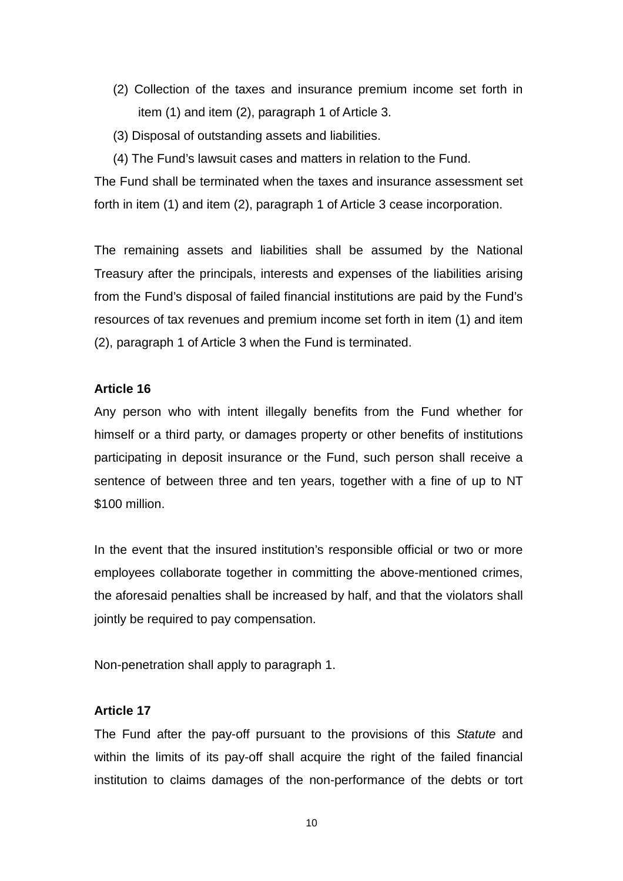- (2) Collection of the taxes and insurance premium income set forth in item (1) and item (2), paragraph 1 of Article 3.
- (3) Disposal of outstanding assets and liabilities.
- (4) The Fund's lawsuit cases and matters in relation to the Fund.

The Fund shall be terminated when the taxes and insurance assessment set forth in item (1) and item (2), paragraph 1 of Article 3 cease incorporation.

The remaining assets and liabilities shall be assumed by the National Treasury after the principals, interests and expenses of the liabilities arising from the Fund's disposal of failed financial institutions are paid by the Fund's resources of tax revenues and premium income set forth in item (1) and item (2), paragraph 1 of Article 3 when the Fund is terminated.

## **Article 16**

Any person who with intent illegally benefits from the Fund whether for himself or a third party, or damages property or other benefits of institutions participating in deposit insurance or the Fund, such person shall receive a sentence of between three and ten years, together with a fine of up to NT \$100 million.

In the event that the insured institution's responsible official or two or more employees collaborate together in committing the above-mentioned crimes, the aforesaid penalties shall be increased by half, and that the violators shall jointly be required to pay compensation.

Non-penetration shall apply to paragraph 1.

## **Article 17**

The Fund after the pay-off pursuant to the provisions of this *Statute* and within the limits of its pay-off shall acquire the right of the failed financial institution to claims damages of the non-performance of the debts or tort